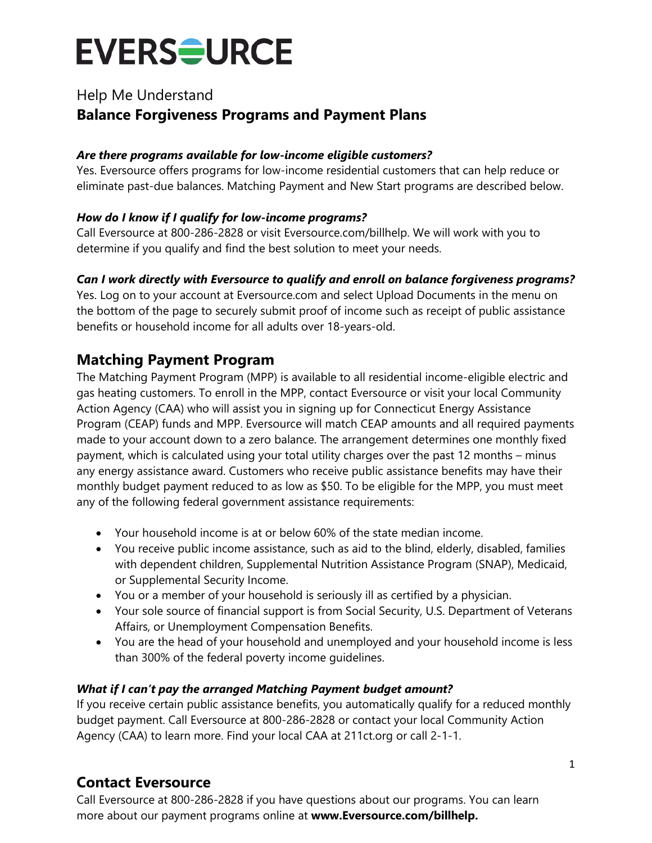## Help Me Understand **Balance Forgiveness Programs and Payment Plans**

#### *Are there programs available for low-income eligible customers?*

Yes. Eversource offers programs for low-income residential customers that can help reduce or eliminate past-due balances. Matching Payment and New Start programs are described below.

#### *How do I know if I qualify for low-income programs?*

Call Eversource at 800-286-2828 or visit Eversource.com/billhelp. We will work with you to determine if you qualify and find the best solution to meet your needs.

#### *Can I work directly with Eversource to qualify and enroll on balance forgiveness programs?*

Yes. Log on to your account at Eversource.com and select Upload Documents in the menu on the bottom of the page to securely submit proof of income such as receipt of public assistance benefits or household income for all adults over 18-years-old.

## **Matching Payment Program**

The Matching Payment Program (MPP) is available to all residential income-eligible electric and gas heating customers. To enroll in the MPP, contact Eversource or visit your local Community Action Agency (CAA) who will assist you in signing up for Connecticut Energy Assistance Program (CEAP) funds and MPP. Eversource will match CEAP amounts and all required payments made to your account down to a zero balance. The arrangement determines one monthly fixed payment, which is calculated using your total utility charges over the past 12 months – minus any energy assistance award. Customers who receive public assistance benefits may have their monthly budget payment reduced to as low as \$50. To be eligible for the MPP, you must meet any of the following federal government assistance requirements:

- Your household income is at or below 60% of the state median income.
- You receive public income assistance, such as aid to the blind, elderly, disabled, families with dependent children, Supplemental Nutrition Assistance Program (SNAP), Medicaid, or Supplemental Security Income.
- You or a member of your household is seriously ill as certified by a physician.
- Your sole source of financial support is from Social Security, U.S. Department of Veterans Affairs, or Unemployment Compensation Benefits.
- You are the head of your household and unemployed and your household income is less than 300% of the federal poverty income guidelines.

#### *What if I can't pay the arranged Matching Payment budget amount?*

If you receive certain public assistance benefits, you automatically qualify for a reduced monthly budget payment. Call Eversource at 800-286-2828 or contact your local Community Action Agency (CAA) to learn more. Find your local CAA at 211ct.org or call 2-1-1.

## **Contact Eversource**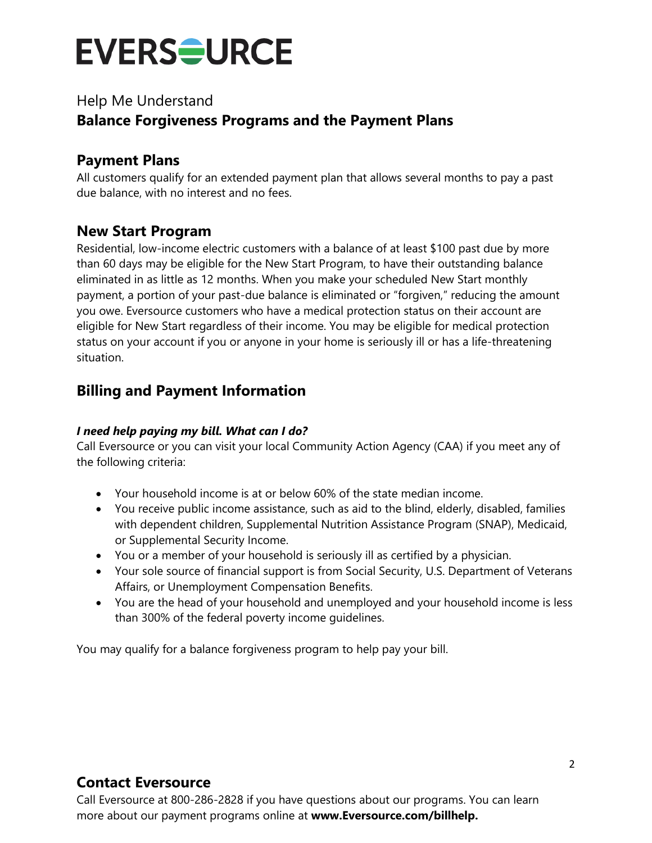## Help Me Understand **Balance Forgiveness Programs and the Payment Plans**

## **Payment Plans**

All customers qualify for an extended payment plan that allows several months to pay a past due balance, with no interest and no fees.

### **New Start Program**

Residential, low-income electric customers with a balance of at least \$100 past due by more than 60 days may be eligible for the New Start Program, to have their outstanding balance eliminated in as little as 12 months. When you make your scheduled New Start monthly payment, a portion of your past-due balance is eliminated or "forgiven," reducing the amount you owe. Eversource customers who have a medical protection status on their account are eligible for New Start regardless of their income. You may be eligible for medical protection status on your account if you or anyone in your home is seriously ill or has a life-threatening situation.

## **Billing and Payment Information**

#### *I need help paying my bill. What can I do?*

Call Eversource or you can visit your local Community Action Agency (CAA) if you meet any of the following criteria:

- Your household income is at or below 60% of the state median income.
- You receive public income assistance, such as aid to the blind, elderly, disabled, families with dependent children, Supplemental Nutrition Assistance Program (SNAP), Medicaid, or Supplemental Security Income.
- You or a member of your household is seriously ill as certified by a physician.
- Your sole source of financial support is from Social Security, U.S. Department of Veterans Affairs, or Unemployment Compensation Benefits.
- You are the head of your household and unemployed and your household income is less than 300% of the federal poverty income guidelines.

You may qualify for a balance forgiveness program to help pay your bill.

## **Contact Eversource**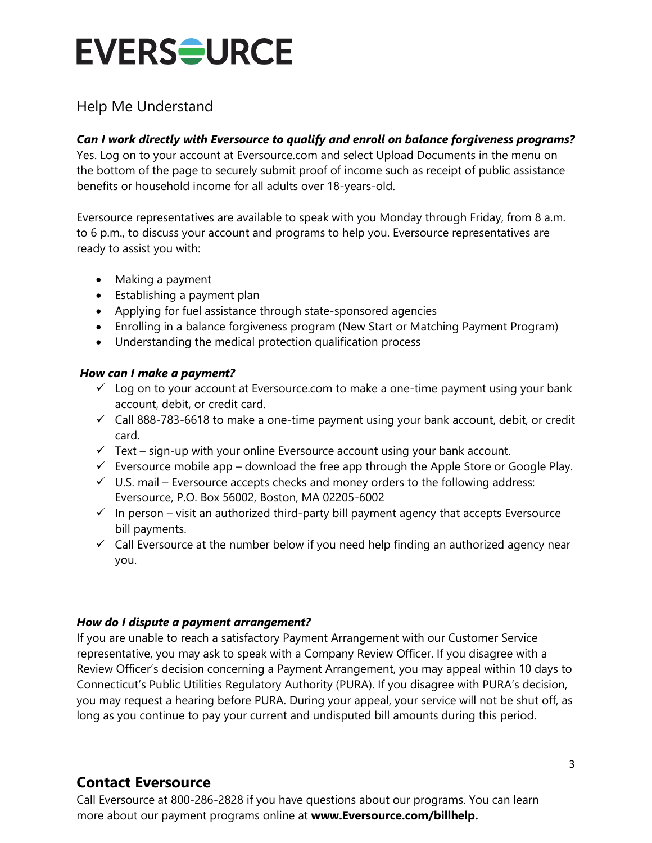## Help Me Understand

#### *Can I work directly with Eversource to qualify and enroll on balance forgiveness programs?*

Yes. Log on to your account at Eversource.com and select Upload Documents in the menu on the bottom of the page to securely submit proof of income such as receipt of public assistance benefits or household income for all adults over 18-years-old.

Eversource representatives are available to speak with you Monday through Friday, from 8 a.m. to 6 p.m., to discuss your account and programs to help you. Eversource representatives are ready to assist you with:

- Making a payment
- Establishing a payment plan
- Applying for fuel assistance through state-sponsored agencies
- Enrolling in a balance forgiveness program (New Start or Matching Payment Program)
- Understanding the medical protection qualification process

#### *How can I make a payment?*

- $\checkmark$  Log on to your account at Eversource.com to make a one-time payment using your bank account, debit, or credit card.
- $\checkmark$  Call 888-783-6618 to make a one-time payment using your bank account, debit, or credit card.
- $\checkmark$  Text sign-up with your online Eversource account using your bank account.
- $\checkmark$  Eversource mobile app download the free app through the Apple Store or Google Play.
- $\checkmark$  U.S. mail Eversource accepts checks and money orders to the following address: Eversource, P.O. Box 56002, Boston, MA 02205-6002
- $\checkmark$  In person visit an authorized third-party bill payment agency that accepts Eversource bill payments.
- $\checkmark$  Call Eversource at the number below if you need help finding an authorized agency near you.

#### *How do I dispute a payment arrangement?*

If you are unable to reach a satisfactory Payment Arrangement with our Customer Service representative, you may ask to speak with a Company Review Officer. If you disagree with a Review Officer's decision concerning a Payment Arrangement, you may appeal within 10 days to Connecticut's Public Utilities Regulatory Authority (PURA). If you disagree with PURA's decision, you may request a hearing before PURA. During your appeal, your service will not be shut off, as long as you continue to pay your current and undisputed bill amounts during this period.

## **Contact Eversource**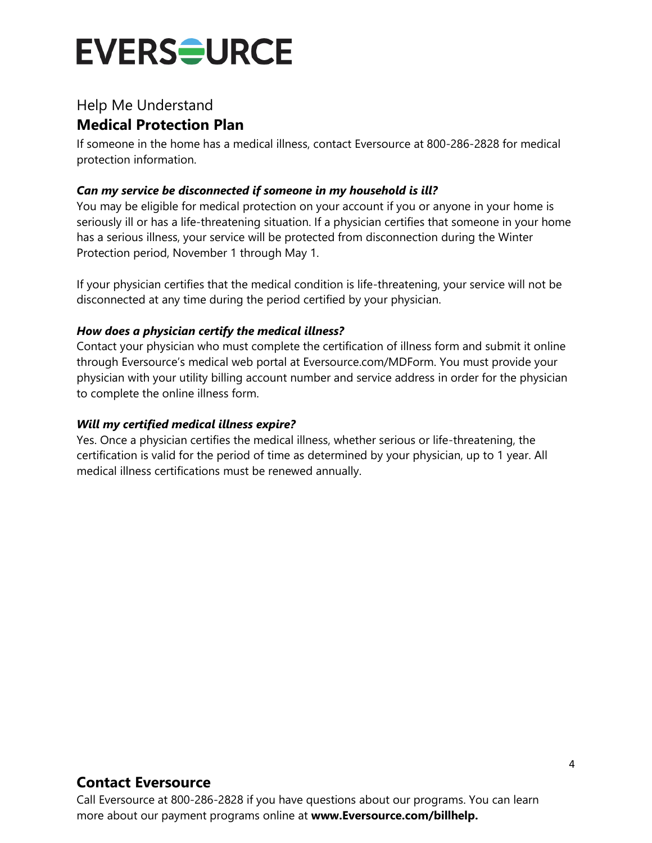## Help Me Understand **Medical Protection Plan**

If someone in the home has a medical illness, contact Eversource at 800-286-2828 for medical protection information.

#### *Can my service be disconnected if someone in my household is ill?*

You may be eligible for medical protection on your account if you or anyone in your home is seriously ill or has a life-threatening situation. If a physician certifies that someone in your home has a serious illness, your service will be protected from disconnection during the Winter Protection period, November 1 through May 1.

If your physician certifies that the medical condition is life-threatening, your service will not be disconnected at any time during the period certified by your physician.

#### *How does a physician certify the medical illness?*

Contact your physician who must complete the certification of illness form and submit it online through Eversource's medical web portal at Eversource.com/MDForm. You must provide your physician with your utility billing account number and service address in order for the physician to complete the online illness form.

#### *Will my certified medical illness expire?*

Yes. Once a physician certifies the medical illness, whether serious or life-threatening, the certification is valid for the period of time as determined by your physician, up to 1 year. All medical illness certifications must be renewed annually.

## **Contact Eversource**